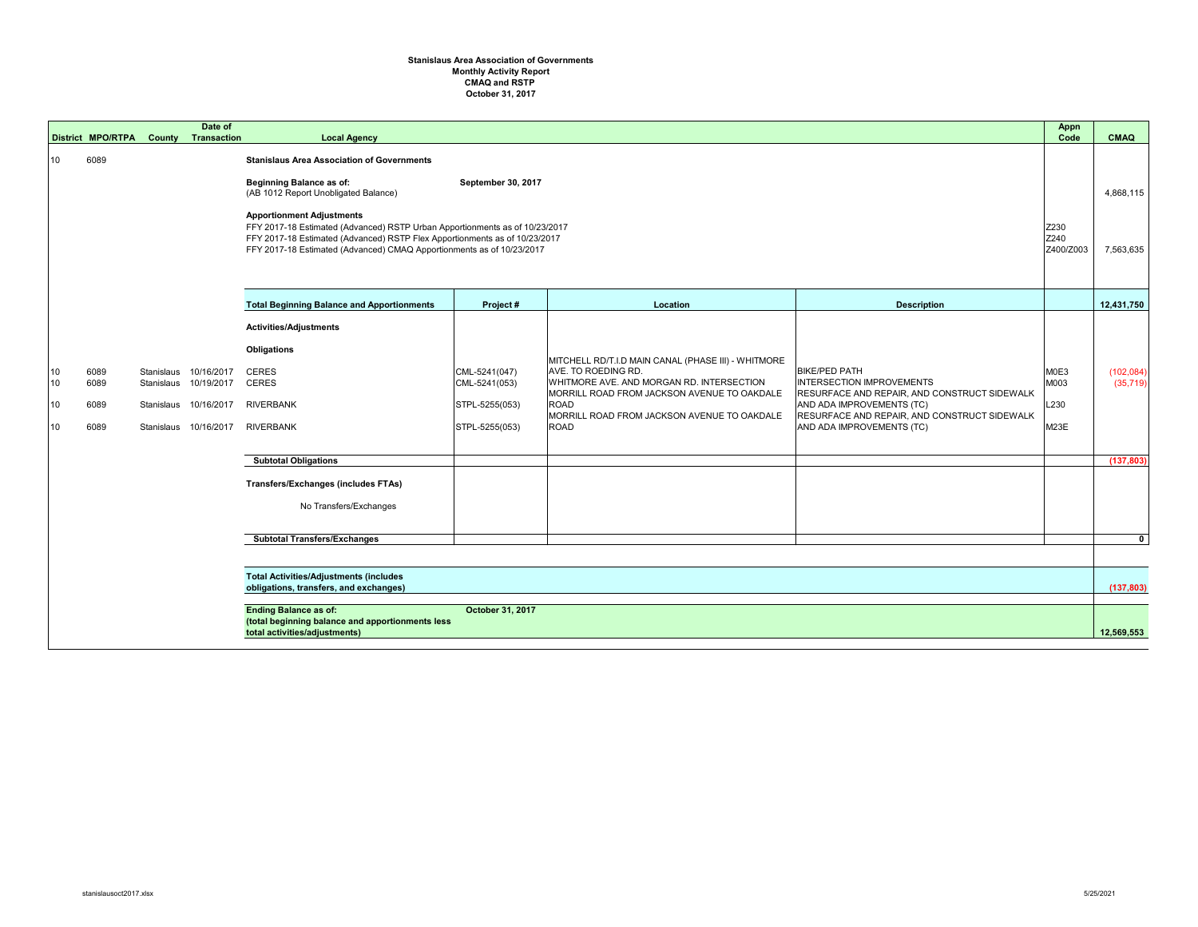## **Stanislaus Area Association of Governments Monthly Activity Report CMAQ and RSTP October 31, 2017**

|                      | <b>District MPO/RTPA</b>     | <b>County</b> | Date of<br><b>Transaction</b>                                                                    | <b>Local Agency</b>                                                                                                                                                                                                                                                                                                                                                                                                          |                                                                    |                                                                                                                                                                                                                                                     |                                                                                                                                                                                                                    | Appn<br>Code                 | <b>CMAQ</b>              |
|----------------------|------------------------------|---------------|--------------------------------------------------------------------------------------------------|------------------------------------------------------------------------------------------------------------------------------------------------------------------------------------------------------------------------------------------------------------------------------------------------------------------------------------------------------------------------------------------------------------------------------|--------------------------------------------------------------------|-----------------------------------------------------------------------------------------------------------------------------------------------------------------------------------------------------------------------------------------------------|--------------------------------------------------------------------------------------------------------------------------------------------------------------------------------------------------------------------|------------------------------|--------------------------|
| 10                   | 6089                         |               |                                                                                                  | <b>Stanislaus Area Association of Governments</b><br><b>Beginning Balance as of:</b><br>September 30, 2017<br>(AB 1012 Report Unobligated Balance)<br><b>Apportionment Adjustments</b><br>FFY 2017-18 Estimated (Advanced) RSTP Urban Apportionments as of 10/23/2017<br>FFY 2017-18 Estimated (Advanced) RSTP Flex Apportionments as of 10/23/2017<br>FFY 2017-18 Estimated (Advanced) CMAQ Apportionments as of 10/23/2017 |                                                                    |                                                                                                                                                                                                                                                     |                                                                                                                                                                                                                    | Z230<br>Z240<br>Z400/Z003    | 4,868,115<br>7,563,635   |
|                      |                              |               |                                                                                                  | <b>Total Beginning Balance and Apportionments</b>                                                                                                                                                                                                                                                                                                                                                                            | Project#                                                           | Location                                                                                                                                                                                                                                            | <b>Description</b>                                                                                                                                                                                                 |                              | 12,431,750               |
| 10<br>10<br>10<br>10 | 6089<br>6089<br>6089<br>6089 |               | Stanislaus 10/16/2017<br>Stanislaus 10/19/2017<br>Stanislaus 10/16/2017<br>Stanislaus 10/16/2017 | <b>Activities/Adjustments</b><br><b>Obligations</b><br><b>CERES</b><br><b>CERES</b><br><b>RIVERBANK</b><br><b>RIVERBANK</b>                                                                                                                                                                                                                                                                                                  | CML-5241(047)<br>CML-5241(053)<br>STPL-5255(053)<br>STPL-5255(053) | MITCHELL RD/T.I.D MAIN CANAL (PHASE III) - WHITMORE<br>AVE. TO ROEDING RD.<br>WHITMORE AVE. AND MORGAN RD. INTERSECTION<br>MORRILL ROAD FROM JACKSON AVENUE TO OAKDALE<br><b>ROAD</b><br>MORRILL ROAD FROM JACKSON AVENUE TO OAKDALE<br><b>ROAD</b> | <b>BIKE/PED PATH</b><br><b>INTERSECTION IMPROVEMENTS</b><br>RESURFACE AND REPAIR, AND CONSTRUCT SIDEWALK<br>AND ADA IMPROVEMENTS (TC)<br>RESURFACE AND REPAIR, AND CONSTRUCT SIDEWALK<br>AND ADA IMPROVEMENTS (TC) | M0E3<br>M003<br>L230<br>M23E | (102,084)<br>(35, 719)   |
|                      |                              |               |                                                                                                  | <b>Subtotal Obligations</b>                                                                                                                                                                                                                                                                                                                                                                                                  |                                                                    |                                                                                                                                                                                                                                                     |                                                                                                                                                                                                                    |                              | (137, 803)               |
|                      |                              |               |                                                                                                  | <b>Transfers/Exchanges (includes FTAs)</b><br>No Transfers/Exchanges                                                                                                                                                                                                                                                                                                                                                         |                                                                    |                                                                                                                                                                                                                                                     |                                                                                                                                                                                                                    |                              |                          |
|                      |                              |               |                                                                                                  | <b>Subtotal Transfers/Exchanges</b>                                                                                                                                                                                                                                                                                                                                                                                          |                                                                    |                                                                                                                                                                                                                                                     |                                                                                                                                                                                                                    |                              | $\mathbf{0}$             |
|                      |                              |               |                                                                                                  | <b>Total Activities/Adjustments (includes</b><br>obligations, transfers, and exchanges)<br><b>Ending Balance as of:</b><br>(total beginning balance and apportionments less<br>total activities/adjustments)                                                                                                                                                                                                                 | October 31, 2017                                                   |                                                                                                                                                                                                                                                     |                                                                                                                                                                                                                    |                              | (137, 803)<br>12,569,553 |